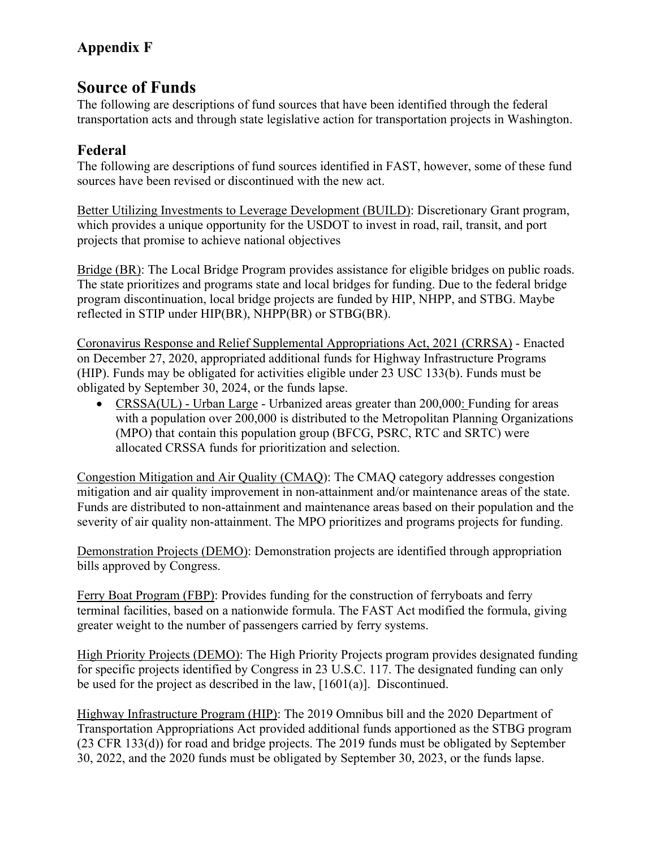## **Source of Funds**

The following are descriptions of fund sources that have been identified through the federal transportation acts and through state legislative action for transportation projects in Washington.

#### **Federal**

The following are descriptions of fund sources identified in FAST, however, some of these fund sources have been revised or discontinued with the new act.

Better Utilizing Investments to Leverage Development (BUILD): Discretionary Grant program, which provides a unique opportunity for the USDOT to invest in road, rail, transit, and port projects that promise to achieve national objectives

Bridge (BR): The Local Bridge Program provides assistance for eligible bridges on public roads. The state prioritizes and programs state and local bridges for funding. Due to the federal bridge program discontinuation, local bridge projects are funded by HIP, NHPP, and STBG. Maybe reflected in STIP under HIP(BR), NHPP(BR) or STBG(BR).

Coronavirus Response and Relief Supplemental Appropriations Act, 2021 (CRRSA) - Enacted on December 27, 2020, appropriated additional funds for Highway Infrastructure Programs (HIP). Funds may be obligated for activities eligible under 23 USC 133(b). Funds must be obligated by September 30, 2024, or the funds lapse.

• CRSSA(UL) - Urban Large - Urbanized areas greater than 200,000: Funding for areas with a population over 200,000 is distributed to the Metropolitan Planning Organizations (MPO) that contain this population group (BFCG, PSRC, RTC and SRTC) were allocated CRSSA funds for prioritization and selection.

Congestion Mitigation and Air Quality (CMAQ): The CMAQ category addresses congestion mitigation and air quality improvement in non-attainment and/or maintenance areas of the state. Funds are distributed to non-attainment and maintenance areas based on their population and the severity of air quality non-attainment. The MPO prioritizes and programs projects for funding.

Demonstration Projects (DEMO): Demonstration projects are identified through appropriation bills approved by Congress.

Ferry Boat Program (FBP): Provides funding for the construction of ferryboats and ferry terminal facilities, based on a nationwide formula. The FAST Act modified the formula, giving greater weight to the number of passengers carried by ferry systems.

High Priority Projects (DEMO): The High Priority Projects program provides designated funding for specific projects identified by Congress in 23 U.S.C. 117. The designated funding can only be used for the project as described in the law,  $[1601(a)]$ . Discontinued.

Highway Infrastructure Program (HIP): The 2019 Omnibus bill and the 2020 Department of Transportation Appropriations Act provided additional funds apportioned as the STBG program (23 CFR 133(d)) for road and bridge projects. The 2019 funds must be obligated by September 30, 2022, and the 2020 funds must be obligated by September 30, 2023, or the funds lapse.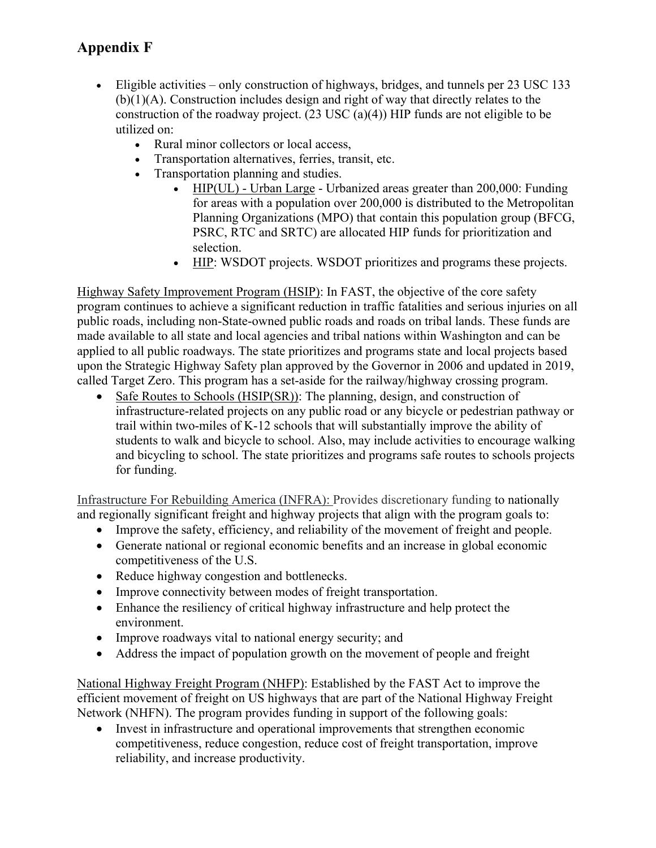- Eligible activities only construction of highways, bridges, and tunnels per 23 USC 133 (b)(1)(A). Construction includes design and right of way that directly relates to the construction of the roadway project. (23 USC (a)(4)) HIP funds are not eligible to be utilized on:
	- Rural minor collectors or local access,
	- Transportation alternatives, ferries, transit, etc.
	- Transportation planning and studies.
		- HIP(UL) Urban Large Urbanized areas greater than 200,000: Funding for areas with a population over 200,000 is distributed to the Metropolitan Planning Organizations (MPO) that contain this population group (BFCG, PSRC, RTC and SRTC) are allocated HIP funds for prioritization and selection.
		- HIP: WSDOT projects. WSDOT prioritizes and programs these projects.

Highway Safety Improvement Program (HSIP): In FAST, the objective of the core safety program continues to achieve a significant reduction in traffic fatalities and serious injuries on all public roads, including non-State-owned public roads and roads on tribal lands. These funds are made available to all state and local agencies and tribal nations within Washington and can be applied to all public roadways. The state prioritizes and programs state and local projects based upon the Strategic Highway Safety plan approved by the Governor in 2006 and updated in 2019, called Target Zero. This program has a set-aside for the railway/highway crossing program.

• Safe Routes to Schools (HSIP(SR)): The planning, design, and construction of infrastructure-related projects on any public road or any bicycle or pedestrian pathway or trail within two-miles of K-12 schools that will substantially improve the ability of students to walk and bicycle to school. Also, may include activities to encourage walking and bicycling to school. The state prioritizes and programs safe routes to schools projects for funding.

Infrastructure For Rebuilding America (INFRA): Provides discretionary funding to nationally and regionally significant freight and highway projects that align with the program goals to:

- Improve the safety, efficiency, and reliability of the movement of freight and people.
- Generate national or regional economic benefits and an increase in global economic competitiveness of the U.S.
- Reduce highway congestion and bottlenecks.
- Improve connectivity between modes of freight transportation.
- Enhance the resiliency of critical highway infrastructure and help protect the environment.
- Improve roadways vital to national energy security; and
- Address the impact of population growth on the movement of people and freight

National Highway Freight Program (NHFP): Established by the FAST Act to improve the efficient movement of freight on US highways that are part of the National Highway Freight Network (NHFN). The program provides funding in support of the following goals:

• Invest in infrastructure and operational improvements that strengthen economic competitiveness, reduce congestion, reduce cost of freight transportation, improve reliability, and increase productivity.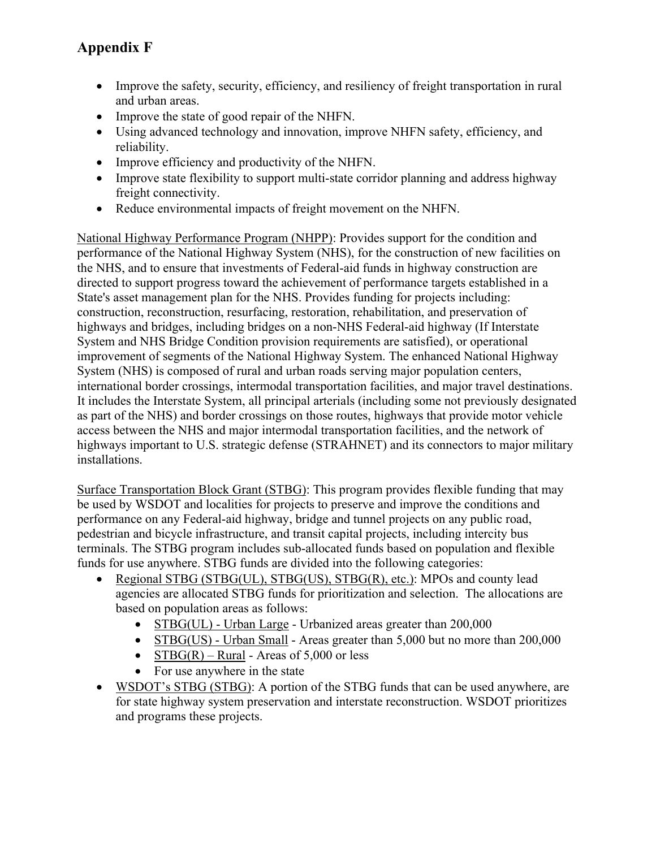- Improve the safety, security, efficiency, and resiliency of freight transportation in rural and urban areas.
- Improve the state of good repair of the NHFN.
- Using advanced technology and innovation, improve NHFN safety, efficiency, and reliability.
- Improve efficiency and productivity of the NHFN.
- Improve state flexibility to support multi-state corridor planning and address highway freight connectivity.
- Reduce environmental impacts of freight movement on the NHFN.

National Highway Performance Program (NHPP): Provides support for the condition and performance of the National Highway System (NHS), for the construction of new facilities on the NHS, and to ensure that investments of Federal-aid funds in highway construction are directed to support progress toward the achievement of performance targets established in a State's asset management plan for the NHS. Provides funding for projects including: construction, reconstruction, resurfacing, restoration, rehabilitation, and preservation of highways and bridges, including bridges on a non-NHS Federal-aid highway (If Interstate System and NHS Bridge Condition provision requirements are satisfied), or operational improvement of segments of the National Highway System. The enhanced National Highway System (NHS) is composed of rural and urban roads serving major population centers, international border crossings, intermodal transportation facilities, and major travel destinations. It includes the Interstate System, all principal arterials (including some not previously designated as part of the NHS) and border crossings on those routes, highways that provide motor vehicle access between the NHS and major intermodal transportation facilities, and the network of highways important to U.S. strategic defense (STRAHNET) and its connectors to major military installations.

Surface Transportation Block Grant (STBG): This program provides flexible funding that may be used by WSDOT and localities for projects to preserve and improve the conditions and performance on any Federal-aid highway, bridge and tunnel projects on any public road, pedestrian and bicycle infrastructure, and transit capital projects, including intercity bus terminals. The STBG program includes sub-allocated funds based on population and flexible funds for use anywhere. STBG funds are divided into the following categories:

- Regional STBG (STBG(UL), STBG(US), STBG(R), etc.): MPOs and county lead agencies are allocated STBG funds for prioritization and selection. The allocations are based on population areas as follows:
	- STBG(UL) Urban Large Urbanized areas greater than 200,000
	- STBG(US) Urban Small Areas greater than 5,000 but no more than 200,000
	- $STBG(R) Rural Areas of 5,000 or less$
	- For use anywhere in the state
- WSDOT's STBG (STBG): A portion of the STBG funds that can be used anywhere, are for state highway system preservation and interstate reconstruction. WSDOT prioritizes and programs these projects.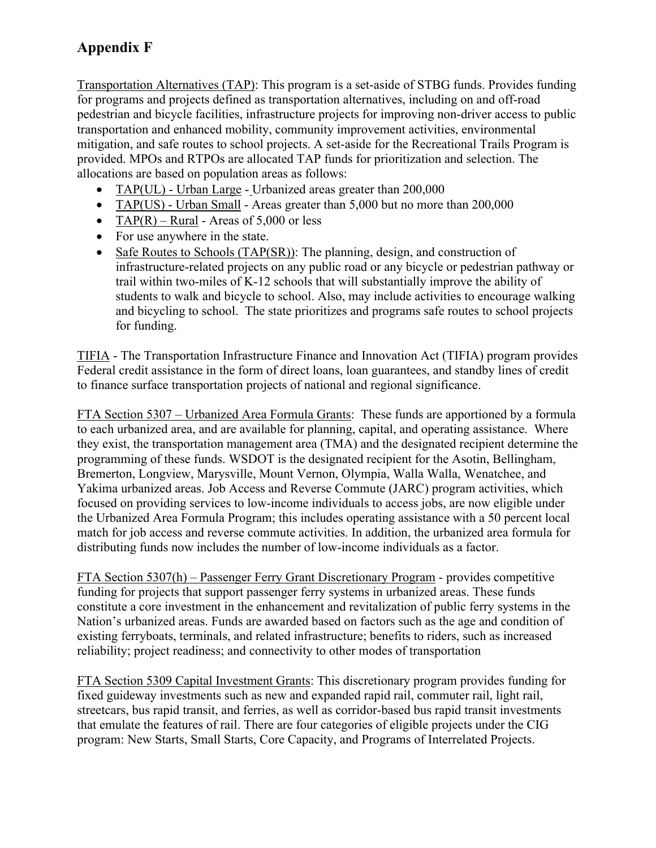Transportation Alternatives (TAP): This program is a set-aside of STBG funds. Provides funding for programs and projects defined as transportation alternatives, including on and off-road pedestrian and bicycle facilities, infrastructure projects for improving non-driver access to public transportation and enhanced mobility, community improvement activities, environmental mitigation, and safe routes to school projects. A set-aside for the Recreational Trails Program is provided. MPOs and RTPOs are allocated TAP funds for prioritization and selection. The allocations are based on population areas as follows:

- TAP(UL) Urban Large Urbanized areas greater than 200,000
- TAP(US) Urban Small Areas greater than 5,000 but no more than 200,000
- TAP $(R)$  Rural Areas of 5,000 or less
- For use anywhere in the state.
- Safe Routes to Schools (TAP(SR)): The planning, design, and construction of infrastructure-related projects on any public road or any bicycle or pedestrian pathway or trail within two-miles of K-12 schools that will substantially improve the ability of students to walk and bicycle to school. Also, may include activities to encourage walking and bicycling to school. The state prioritizes and programs safe routes to school projects for funding.

TIFIA - The Transportation Infrastructure Finance and Innovation Act (TIFIA) program provides Federal credit assistance in the form of direct loans, loan guarantees, and standby lines of credit to finance surface transportation projects of national and regional significance.

FTA Section 5307 – Urbanized Area Formula Grants: These funds are apportioned by a formula to each urbanized area, and are available for planning, capital, and operating assistance. Where they exist, the transportation management area (TMA) and the designated recipient determine the programming of these funds. WSDOT is the designated recipient for the Asotin, Bellingham, Bremerton, Longview, Marysville, Mount Vernon, Olympia, Walla Walla, Wenatchee, and Yakima urbanized areas. Job Access and Reverse Commute (JARC) program activities, which focused on providing services to low-income individuals to access jobs, are now eligible under the Urbanized Area Formula Program; this includes operating assistance with a 50 percent local match for job access and reverse commute activities. In addition, the urbanized area formula for distributing funds now includes the number of low-income individuals as a factor.

FTA Section 5307(h) – Passenger Ferry Grant Discretionary Program - provides competitive funding for projects that support passenger ferry systems in urbanized areas. These funds constitute a core investment in the enhancement and revitalization of public ferry systems in the Nation's urbanized areas. Funds are awarded based on factors such as the age and condition of existing ferryboats, terminals, and related infrastructure; benefits to riders, such as increased reliability; project readiness; and connectivity to other modes of transportation

FTA Section 5309 Capital Investment Grants: This discretionary program provides funding for fixed guideway investments such as new and expanded rapid rail, commuter rail, light rail, streetcars, bus rapid transit, and ferries, as well as corridor-based bus rapid transit investments that emulate the features of rail. There are four categories of eligible projects under the CIG program: New Starts, Small Starts, Core Capacity, and Programs of Interrelated Projects.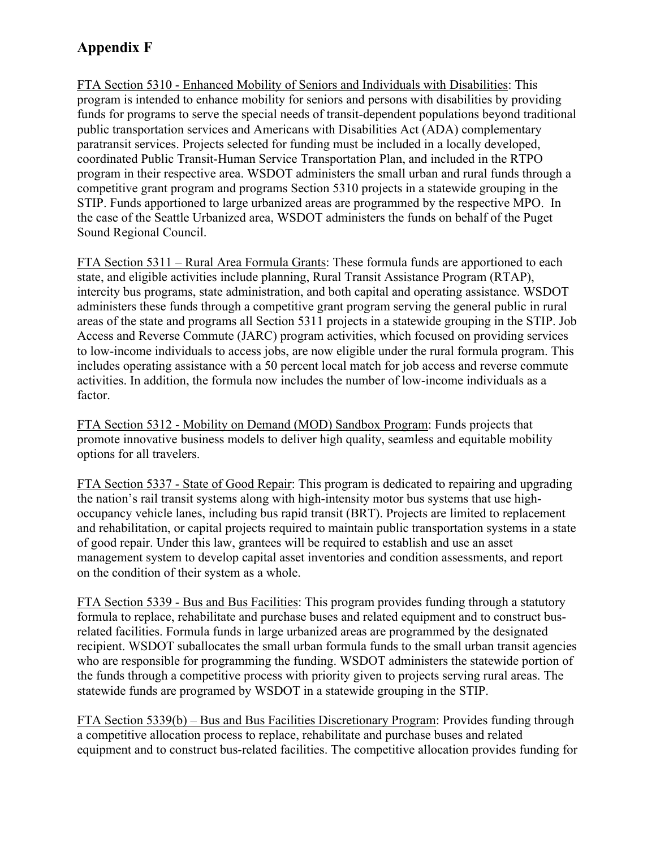FTA Section 5310 - Enhanced Mobility of Seniors and Individuals with Disabilities: This program is intended to enhance mobility for seniors and persons with disabilities by providing funds for programs to serve the special needs of transit-dependent populations beyond traditional public transportation services and Americans with Disabilities Act (ADA) complementary paratransit services. Projects selected for funding must be included in a locally developed, coordinated Public Transit-Human Service Transportation Plan, and included in the RTPO program in their respective area. WSDOT administers the small urban and rural funds through a competitive grant program and programs Section 5310 projects in a statewide grouping in the STIP. Funds apportioned to large urbanized areas are programmed by the respective MPO. In the case of the Seattle Urbanized area, WSDOT administers the funds on behalf of the Puget Sound Regional Council.

FTA Section 5311 – Rural Area Formula Grants: These formula funds are apportioned to each state, and eligible activities include planning, Rural Transit Assistance Program (RTAP), intercity bus programs, state administration, and both capital and operating assistance. WSDOT administers these funds through a competitive grant program serving the general public in rural areas of the state and programs all Section 5311 projects in a statewide grouping in the STIP. Job Access and Reverse Commute (JARC) program activities, which focused on providing services to low-income individuals to access jobs, are now eligible under the rural formula program. This includes operating assistance with a 50 percent local match for job access and reverse commute activities. In addition, the formula now includes the number of low-income individuals as a factor.

FTA Section 5312 - Mobility on Demand (MOD) Sandbox Program: Funds projects that promote innovative business models to deliver high quality, seamless and equitable mobility options for all travelers.

FTA Section 5337 - State of Good Repair: This program is dedicated to repairing and upgrading the nation's rail transit systems along with high-intensity motor bus systems that use highoccupancy vehicle lanes, including bus rapid transit (BRT). Projects are limited to replacement and rehabilitation, or capital projects required to maintain public transportation systems in a state of good repair. Under this law, grantees will be required to establish and use an asset management system to develop capital asset inventories and condition assessments, and report on the condition of their system as a whole.

FTA Section 5339 - Bus and Bus Facilities: This program provides funding through a statutory formula to replace, rehabilitate and purchase buses and related equipment and to construct busrelated facilities. Formula funds in large urbanized areas are programmed by the designated recipient. WSDOT suballocates the small urban formula funds to the small urban transit agencies who are responsible for programming the funding. WSDOT administers the statewide portion of the funds through a competitive process with priority given to projects serving rural areas. The statewide funds are programed by WSDOT in a statewide grouping in the STIP.

FTA Section 5339(b) – Bus and Bus Facilities Discretionary Program: Provides funding through a competitive allocation process to replace, rehabilitate and purchase buses and related equipment and to construct bus-related facilities. The competitive allocation provides funding for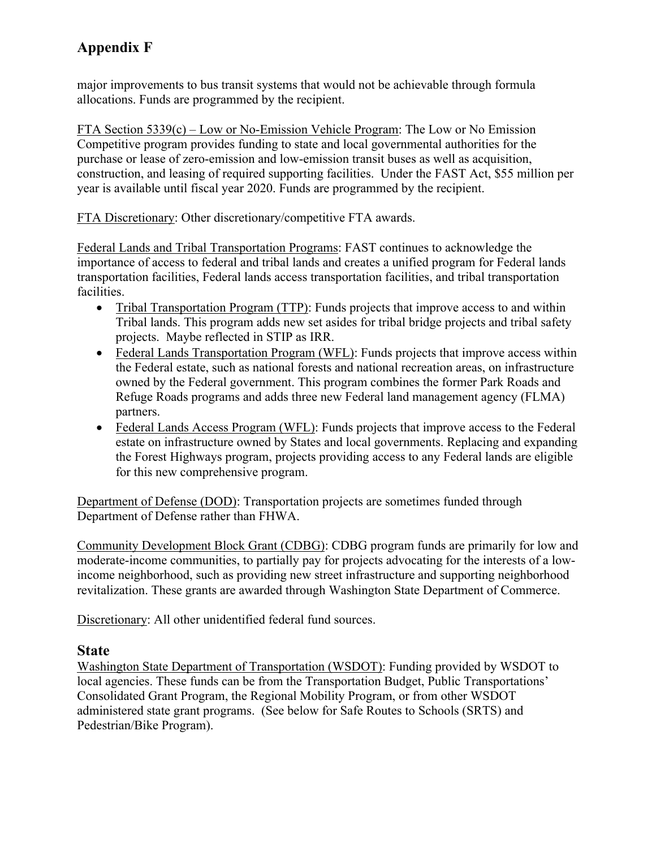major improvements to bus transit systems that would not be achievable through formula allocations. Funds are programmed by the recipient.

FTA Section 5339(c) – Low or No-Emission Vehicle Program: The Low or No Emission Competitive program provides funding to state and local governmental authorities for the purchase or lease of zero-emission and low-emission transit buses as well as acquisition, construction, and leasing of required supporting facilities. Under the FAST Act, \$55 million per year is available until fiscal year 2020. Funds are programmed by the recipient.

FTA Discretionary: Other discretionary/competitive FTA awards.

Federal Lands and Tribal Transportation Programs: FAST continues to acknowledge the importance of access to federal and tribal lands and creates a unified program for Federal lands transportation facilities, Federal lands access transportation facilities, and tribal transportation facilities.

- Tribal Transportation Program (TTP): Funds projects that improve access to and within Tribal lands. This program adds new set asides for tribal bridge projects and tribal safety projects. Maybe reflected in STIP as IRR.
- Federal Lands Transportation Program (WFL): Funds projects that improve access within the Federal estate, such as national forests and national recreation areas, on infrastructure owned by the Federal government. This program combines the former Park Roads and Refuge Roads programs and adds three new Federal land management agency (FLMA) partners.
- Federal Lands Access Program (WFL): Funds projects that improve access to the Federal estate on infrastructure owned by States and local governments. Replacing and expanding the Forest Highways program, projects providing access to any Federal lands are eligible for this new comprehensive program.

Department of Defense (DOD): Transportation projects are sometimes funded through Department of Defense rather than FHWA.

Community Development Block Grant (CDBG): CDBG program funds are primarily for low and moderate-income communities, to partially pay for projects advocating for the interests of a lowincome neighborhood, such as providing new street infrastructure and supporting neighborhood revitalization. These grants are awarded through Washington State Department of Commerce.

Discretionary: All other unidentified federal fund sources.

#### **State**

Washington State Department of Transportation (WSDOT): Funding provided by WSDOT to local agencies. These funds can be from the Transportation Budget, Public Transportations' Consolidated Grant Program, the Regional Mobility Program, or from other WSDOT administered state grant programs. (See below for Safe Routes to Schools (SRTS) and Pedestrian/Bike Program).